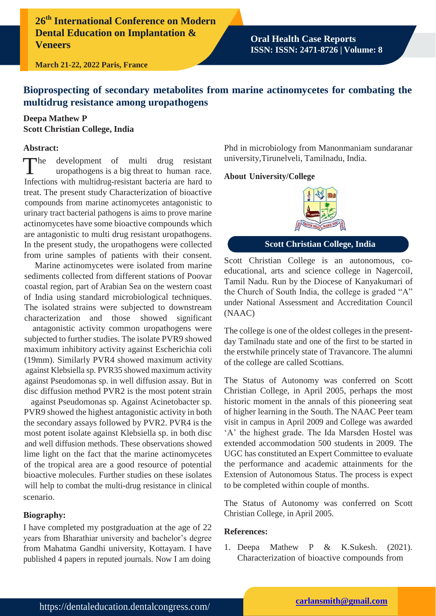**26th International Conference on Modern Dental Education on Implantation & Veneers**

**Oral Health Case Reports ISSN: ISSN: 2471-8726 | Volume: 8**

**March 21-22, 2022 Paris, France**

# **Bioprospecting of secondary metabolites from marine actinomycetes for combating the multidrug resistance among uropathogens**

# **Deepa Mathew P Scott Christian College, India**

#### **Abstract:**

 $\n **The**\n$ development of multi drug resistant uropathogens is a big threat to human race. Infections with multidrug-resistant bacteria are hard to treat. The present study Characterization of bioactive compounds from marine actinomycetes antagonistic to urinary tract bacterial pathogens is aims to prove marine actinomycetes have some bioactive compounds which are antagonistic to multi drug resistant uropathogens. In the present study, the uropathogens were collected from urine samples of patients with their consent.

Marine actinomycetes were isolated from marine sediments collected from different stations of Poovar coastal region, part of Arabian Sea on the western coast of India using standard microbiological techniques. The isolated strains were subjected to downstream characterization and those showed significant

antagonistic activity common uropathogens were subjected to further studies. The isolate PVR9 showed maximum inhibitory activity against Escherichia coli (19mm). Similarly PVR4 showed maximum activity against Klebsiella sp. PVR35 showed maximum activity against Pseudomonas sp. in well diffusion assay. But in disc diffusion method PVR2 is the most potent strain

against Pseudomonas sp. Against Acinetobacter sp. PVR9 showed the highest antagonistic activity in both the secondary assays followed by PVR2. PVR4 is the most potent isolate against Klebsiella sp. in both disc and well diffusion methods. These observations showed lime light on the fact that the marine actinomycetes of the tropical area are a good resource of potential bioactive molecules. Further studies on these isolates will help to combat the multi-drug resistance in clinical scenario.

## **Biography:**

I have completed my postgraduation at the age of 22 years from Bharathiar university and bachelor's degree from Mahatma Gandhi university, Kottayam. I have published 4 papers in reputed journals. Now I am doing

Phd in microbiology from Manonmaniam sundaranar university,Tirunelveli, Tamilnadu, India.

#### **About University/College**



**Scott Christian College, India**

Scott Christian College is an autonomous, coeducational, arts and science college in Nagercoil, Tamil Nadu. Run by the Diocese of Kanyakumari of the Church of South India, the college is graded "A" under National Assessment and Accreditation Council (NAAC)

The college is one of the oldest colleges in the presentday Tamilnadu state and one of the first to be started in the erstwhile princely state of Travancore. The alumni of the college are called Scottians.

The Status of Autonomy was conferred on Scott Christian College, in April 2005, perhaps the most historic moment in the annals of this pioneering seat of higher learning in the South. The NAAC Peer team visit in campus in April 2009 and College was awarded 'A' the highest grade. The Ida Marsden Hostel was extended accommodation 500 students in 2009. The UGC has constituted an Expert Committee to evaluate the performance and academic attainments for the Extension of Autonomous Status. The process is expect to be completed within couple of months.

The Status of Autonomy was conferred on Scott Christian College, in April 2005.

## **References:**

1. Deepa Mathew P & K.Sukesh. (2021). Characterization of bioactive compounds from